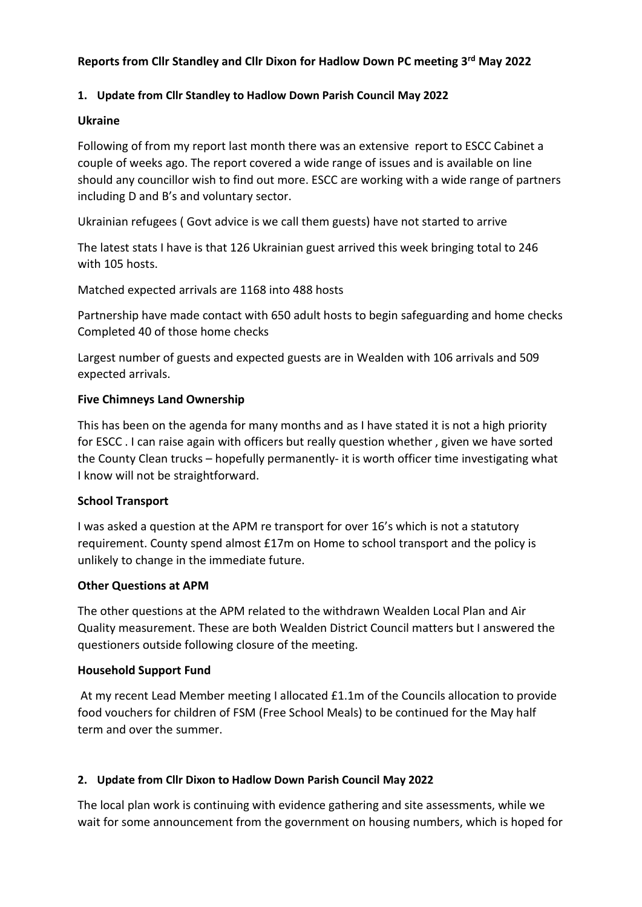# **Reports from Cllr Standley and Cllr Dixon for Hadlow Down PC meeting 3 rd May 2022**

## **1. Update from Cllr Standley to Hadlow Down Parish Council May 2022**

#### **Ukraine**

Following of from my report last month there was an extensive report to ESCC Cabinet a couple of weeks ago. The report covered a wide range of issues and is available on line should any councillor wish to find out more. ESCC are working with a wide range of partners including D and B's and voluntary sector.

Ukrainian refugees ( Govt advice is we call them guests) have not started to arrive

The latest stats I have is that 126 Ukrainian guest arrived this week bringing total to 246 with 105 hosts.

Matched expected arrivals are 1168 into 488 hosts

Partnership have made contact with 650 adult hosts to begin safeguarding and home checks Completed 40 of those home checks

Largest number of guests and expected guests are in Wealden with 106 arrivals and 509 expected arrivals.

## **Five Chimneys Land Ownership**

This has been on the agenda for many months and as I have stated it is not a high priority for ESCC . I can raise again with officers but really question whether , given we have sorted the County Clean trucks – hopefully permanently- it is worth officer time investigating what I know will not be straightforward.

#### **School Transport**

I was asked a question at the APM re transport for over 16's which is not a statutory requirement. County spend almost £17m on Home to school transport and the policy is unlikely to change in the immediate future.

#### **Other Questions at APM**

The other questions at the APM related to the withdrawn Wealden Local Plan and Air Quality measurement. These are both Wealden District Council matters but I answered the questioners outside following closure of the meeting.

#### **Household Support Fund**

At my recent Lead Member meeting I allocated £1.1m of the Councils allocation to provide food vouchers for children of FSM (Free School Meals) to be continued for the May half term and over the summer.

## **2. Update from Cllr Dixon to Hadlow Down Parish Council May 2022**

The local plan work is continuing with evidence gathering and site assessments, while we wait for some announcement from the government on housing numbers, which is hoped for